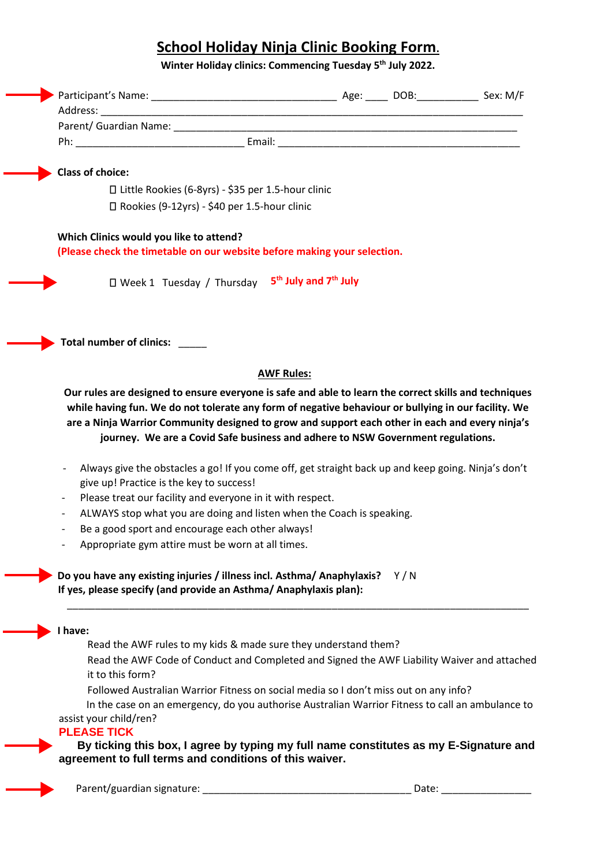## **School Holiday Ninja Clinic Booking Form.**

**Winter Holiday clinics: Commencing Tuesday 5 th July 2022.** 

| <b>Class of choice:</b>                                                                                                                                                                                                                                                                                                                                                                            |                   |       |  |
|----------------------------------------------------------------------------------------------------------------------------------------------------------------------------------------------------------------------------------------------------------------------------------------------------------------------------------------------------------------------------------------------------|-------------------|-------|--|
| □ Little Rookies (6-8yrs) - \$35 per 1.5-hour clinic                                                                                                                                                                                                                                                                                                                                               |                   |       |  |
| □ Rookies (9-12yrs) - \$40 per 1.5-hour clinic                                                                                                                                                                                                                                                                                                                                                     |                   |       |  |
|                                                                                                                                                                                                                                                                                                                                                                                                    |                   |       |  |
| Which Clinics would you like to attend?                                                                                                                                                                                                                                                                                                                                                            |                   |       |  |
| (Please check the timetable on our website before making your selection.                                                                                                                                                                                                                                                                                                                           |                   |       |  |
| □ Week 1 Tuesday / Thursday 5 <sup>th</sup> July and 7 <sup>th</sup> July                                                                                                                                                                                                                                                                                                                          |                   |       |  |
|                                                                                                                                                                                                                                                                                                                                                                                                    |                   |       |  |
| Total number of clinics: _____                                                                                                                                                                                                                                                                                                                                                                     |                   |       |  |
|                                                                                                                                                                                                                                                                                                                                                                                                    | <b>AWF Rules:</b> |       |  |
| Our rules are designed to ensure everyone is safe and able to learn the correct skills and techniques<br>while having fun. We do not tolerate any form of negative behaviour or bullying in our facility. We<br>are a Ninja Warrior Community designed to grow and support each other in each and every ninja's<br>journey. We are a Covid Safe business and adhere to NSW Government regulations. |                   |       |  |
| Always give the obstacles a go! If you come off, get straight back up and keep going. Ninja's don't<br>give up! Practice is the key to success!                                                                                                                                                                                                                                                    |                   |       |  |
| Please treat our facility and everyone in it with respect.                                                                                                                                                                                                                                                                                                                                         |                   |       |  |
| ALWAYS stop what you are doing and listen when the Coach is speaking.<br>$\qquad \qquad \blacksquare$                                                                                                                                                                                                                                                                                              |                   |       |  |
| Be a good sport and encourage each other always!                                                                                                                                                                                                                                                                                                                                                   |                   |       |  |
| Appropriate gym attire must be worn at all times.                                                                                                                                                                                                                                                                                                                                                  |                   |       |  |
| Do you have any existing injuries / illness incl. Asthma/ Anaphylaxis?<br>If yes, please specify (and provide an Asthma/ Anaphylaxis plan):                                                                                                                                                                                                                                                        |                   | Y/N   |  |
| I have:                                                                                                                                                                                                                                                                                                                                                                                            |                   |       |  |
| Read the AWF rules to my kids & made sure they understand them?                                                                                                                                                                                                                                                                                                                                    |                   |       |  |
| Read the AWF Code of Conduct and Completed and Signed the AWF Liability Waiver and attached                                                                                                                                                                                                                                                                                                        |                   |       |  |
| it to this form?                                                                                                                                                                                                                                                                                                                                                                                   |                   |       |  |
| Followed Australian Warrior Fitness on social media so I don't miss out on any info?                                                                                                                                                                                                                                                                                                               |                   |       |  |
| In the case on an emergency, do you authorise Australian Warrior Fitness to call an ambulance to                                                                                                                                                                                                                                                                                                   |                   |       |  |
| assist your child/ren?<br><b>PLEASE TICK</b>                                                                                                                                                                                                                                                                                                                                                       |                   |       |  |
| By ticking this box, I agree by typing my full name constitutes as my E-Signature and                                                                                                                                                                                                                                                                                                              |                   |       |  |
| agreement to full terms and conditions of this waiver.                                                                                                                                                                                                                                                                                                                                             |                   |       |  |
|                                                                                                                                                                                                                                                                                                                                                                                                    |                   |       |  |
| Parent/guardian signature:                                                                                                                                                                                                                                                                                                                                                                         |                   | Date: |  |